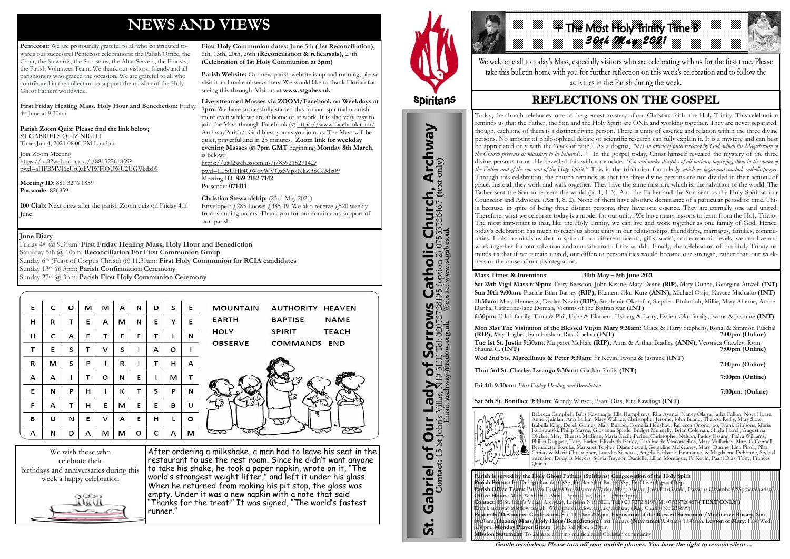# **NEWS AND VIEWS**

**Pentecost:** We are profoundly grateful to all who contributed towards our successful Pentecost celebrations: the Parish Office, the Choir, the Stewards, the Sacristans, the Altar Servers, the Florists, the Parish Volunteer Team. We thank our visitors, friends and all parishioners who graced the occasion. We are grateful to all who contributed in the collection to support the mission of the Holy Ghost Fathers worldwide.

**First Friday Healing Mass, Holy Hour and Benediction:** Friday 4th June at 9.30am

**Parish Zoom Quiz: Please find the link below;** ST GABRIELS QUIZ NIGHT Time: Jun 4, 2021 08:00 PM London

Parish Website: Our new parish website is up and running, please visit it and make observations. We would like to thank Florian for seeing this through. Visit us at **www.stgabes.uk** 

Join Zoom Meeting [https://us02web.zoom.us/j/88132761859?](https://us02web.zoom.us/j/88132761859?pwd=aHFBMVJ6cUtQakVJWFlQUWU2UGVkdz09) [pwd=aHFBMVJ6cUtQakVJWFlQUWU2UGVkdz09](https://us02web.zoom.us/j/88132761859?pwd=aHFBMVJ6cUtQakVJWFlQUWU2UGVkdz09)

**Meeting ID**: 881 3276 1859 **Passcode:** 826859

**100 Club:** Next draw after the parish Zoom quiz on Friday 4th June.

**First Holy Communion dates: June** 5th **( 1st Reconciliation),**  6th, 13th, 20th, 26th **(Reconciliation & rehearsals),** 27th **(Celebration of 1st Holy Communion at 3pm)** 

**Live-streamed Masses via ZOOM/Facebook on Weekdays at 7pm:** We have successfully started this for our spiritual nourishment even while we are at home or at work. It is also very easy to join the Mass through Facebook @ [https://www.facebook.com/](https://www.facebook.com/ArchwayParish/) [ArchwayParish/.](https://www.facebook.com/ArchwayParish/) God bless you as you join us. The Mass will be quiet, prayerful and in 25 minutes. **Zoom link for weekday evening Masses @ 7pm GMT** beginning **Monday 8th March**, is below; [https://us02web.zoom.us/j/85921527142?](https://us02web.zoom.us/j/85921527142?pwd=L05jUHk4QWovWVQzSVpkNkZ3SGl3dz09) [pwd=L05jUHk4QWovWVQzSVpkNkZ3SGl3dz09](https://us02web.zoom.us/j/85921527142?pwd=L05jUHk4QWovWVQzSVpkNkZ3SGl3dz09)

Meeting ID: **859 2152 7142**  Passcode: **071411** 

**Christian Stewardship:** (23rd May 2021) Envelopes:  $\angle 283$  Loose:  $\angle 385.49$ . We also receive  $\angle 520$  weekly from standing orders. Thank you for our continuous support of our parish.

We wish those who celebrate their birthdays and anniversaries during this week a happy celebration



After ordering a milkshake, a man had to leave his seat in the restaurant to use the rest room. Since he didn't want anyone to take his shake, he took a paper napkin, wrote on it, "The world's strongest weight lifter," and left it under his glass. When he returned from making his pit stop, the glass was empty. Under it was a new napkin with a note that said "Thanks for the treat!" It was signed, "The world's fastest runner."



St. Gabriel of Our Lady of Sorrows Catholic Church, Archway

**Sorrows**<br>E Tel: 020727281

Our Lady of Sorro

Gabriel of Our

<u>ჭ</u>

**S Catholic Church, Archway**<br>28195 (option 2) 07533726467 (text only)

#### **June Diary**

Friday 4th @ 9.30am: **First Friday Healing Mass, Holy Hour and Benediction** Saturday 5th @ 10am: **Reconciliation For First Communion Group** Sunday 6th (Feast of Corpus Christi) @ 11.30am: **First Holy Communion for RCIA candidates** Sunday 13th @ 3pm: **Parish Confirmation Ceremony**

Sunday 27th @ 3pm: **Parish First Holy Communion Ceremony** 

| Е | c | O | м | м | А | N | D | s | Е | <b>MOUNTAIN</b><br>AUTHORITY HEAVEN           |
|---|---|---|---|---|---|---|---|---|---|-----------------------------------------------|
| н | R | т | Е | A | м | N | Е | Υ | Е | <b>EARTH</b><br><b>BAPTISE</b><br><b>NAME</b> |
| н | c | A | Е | т | Е | Е | т |   | N | <b>HOLY</b><br><b>SPIRIT</b><br><b>TEACH</b>  |
| т | Е | s | т | v | s |   | А | o |   | <b>OBSERVE</b><br>COMMANDS END                |
| R | м | s | P | I | R |   | т | н | А |                                               |
| А | А |   | т | o | N | Е |   | M | т |                                               |
| Е | N | P | н | ı | к | т | s | P | N | ۲J                                            |
| F | А |   | н | Ε | м | Ε | Е | в | U |                                               |
| в | υ | N | Ε | v | A | Ε | н |   | o |                                               |
| А | N | D | А | м | м | ο |   | А | м |                                               |



We welcome all to today's Mass, especially visitors who are celebrating with us for the first time. Please take this bulletin home with you for further reflection on this week's celebration and to follow the activities in the Parish during the week.

# **REFLECTIONS ON THE GOSPEL**

**Parish is served by the Holy Ghost Fathers (Spiritans) Congregation of the Holy Spirit Parish Priests:** Fr. Dr Ugo Ikwuka CSSp, Fr. Benedict Baka CSSp, Fr. Oliver Ugwu CSSp **Parish Office Team:** Patricia Essien-Oku, Maureen Tayler, Mary Aherne, Joan FitzGerald, Precious Ohiambe CSSp(Seminarian) **Office Hours:** Mon, Wed, Fri. -(9am – 3pm). Tue, Thur. - (9am-1pm) **Contact:** 15 St. John's Villas, Archway, London N19 3EE. Tel: 020 7272 8195, M: 07533726467-**(TEXT ONLY )** Email: archway@rcdow.org.uk Web: parish.rcdow.org.uk/archway (Reg. Charity No.233699) **Pastorals/Devotions: Confessions** Sat. 11.30am & 6pm, **Exposition of the Blessed Sacrament/Meditative Rosary**: Sun. 10.30am, **Healing Mass/Holy Hour/Benediction:** First Fridays **(New time)** 9.30am - 10.45pm. **Legion of Mary**: First Wed. 6.30pm, **Monday Prayer Group**: 1st & 3rd Mon. 6.30pm **Mission Statement:** To animate a loving multicultural Christian community

**Contact:** 15 St John's Villas, N19 3EE Tel: 02072728195 (option 2) 07533726467 **(text only)** Email: **archway@rcdow.org.uk** Website**: www.stgabes.uk**

#### **Mass Times & Intentions 30th May – 5th June 2021**

**Sat 29th Vigil Mass 6:30pm:** Terry Beesdon, John Kissne, Mary Deane **(RIP),** Mary Dunne, Georgina Attwell **(INT) Sun 30th 9:00am:** Patricia Etim-Bassey **(RIP),** Ekanem Oku-Kurz **(ANN),** Michael Osijo, Kaycee Maduako **(INT) 11:30am:** Mary Hennessy, Declan Nevin **(RIP),** Stephanie Okerafor, Stephen Etukudoh, Millie, Mary Aherne, Andre Danka, Catherine-Jane Domah, Victims of the Biafran war **(INT) 6:30pm:** Udoh family, Tunu & Phil, Uche & Ekanem, Ushang & Larry, Essien-Oku family, Iwona & Jasmine **(INT)**

**Mon 31st The Visitation of the Blessed Virgin Mary 9:30am:** Grace & Harry Stephens, Ronal & Simmon Paschal **(RIP),** May Togher, Sam Haslam, Rica Coelho **(INT) Tue 1st St. Justin 9:30am:** Margaret McHale **(RIP),** Anna & Arthur Bradley **(ANN),** Veronica Crawley, Ryan 7:00pm (Online) **Wed 2nd Sts. Marcellinus & Peter 9:30am:** Fr Kevin, Iwona & Jasmine **(INT)**

 **7:00pm (Online)** 

**Thur 3rd St. Charles Lwanga 9:30am:** Glackin family **(INT)**

 **7:00pm (Online)**

**Fri 4th 9:30am:** *First Friday Healing and Benediction*

 **7:00pm: (Online)** 

**Sat 5th St. Boniface 9:30am:** Wendy Winser, Paani Dias, Rita Rawlings **(INT)**



Rebecca Campbell, Babs Kavanagh, Ella Humphreys, Rita Avanzi, Nancy Olaiya, Jarlet Fallon, Nora Hoare, Anne Quinlan, Ann Larkin, Mary Wallace, Christopher Jerome, John Bruno, Theresa Reilly, Mary Slow, Isabella King, Derek Gomes, Mary Burton, Cornelia Henshaw, Rebecca Ononogbo, Frank Gibbons, Maria Kuozwatski, Philip Mayne, Giovanna Spittle, Bridget Munnelly, Brian Coleman, Shiela Farrell, Augustina Okelue, Mary Theresa Madigan, Maria Cecile Perine, Christopher Nelson, Paddy Essang, Padra Williams, Phillip Duggase, Terry Earley, Elizabeth Earley, Caroline de Vasconcellos, Mary Mullarkey, Mary O'Connell, Bernadette Ikwuka, Margaret Togher, Diane Sewell, Geraldine McKeaney, Mary Dunne, Lina Piroli, Pilar, Christy & Maria Christopher, Lourdes Sisneros, Angela Fairbank, Emmanuel & Magdalene Debonne, Special intention, Douglas Meyers, Sylvia Traynor, Danielle, Lilian Montague, Fr Kevin, Paani Dias, Tony, Frances Quinn

**Gentle reminders: Please turn off your mobile phones. You have the right to remain silent ...** 

Today, the church celebrates one of the greatest mystery of our Christian faith- the Holy Trinity. This celebration reminds us that the Father, the Son and the Holy Spirit are ONE and working together. They are never separated, though, each one of them is a distinct divine person. There is unity of essence and relation within the three divine persons. No amount of philosophical debate or scientific research can fully explain it. It is a mystery and can best be appreciated only with the "eyes of faith." As a dogma, *"it is an article of faith revealed by God, which the Magisterium of the Church presents as necessary to be believed…"* In the gospel today, Christ himself revealed the mystery of the three divine persons to us. He revealed this with a mandate: *"Go and make disciples of all nations, baptizing them in the name of the Father and of the son and of the Holy Spirit."* This is the trinitarian formula *by which we begin and conclude catholic prayer*. Through this celebration, the church reminds us that the three divine persons are not divided in their actions of grace. Instead, they work and walk together. They have the same mission, which is, the salvation of the world. The Father sent the Son to redeem the world (Jn 1, 1-3). And the Father and the Son sent us the Holy Spirit as our Counselor and Advocate (Act 1, 8. 2). None of them have absolute dominance of a particular period or time. This is because, in spite of being three distinct persons, they have one essence. They are eternally one and united. Therefore, what we celebrate today is a model for our unity. We have many lessons to learn from the Holy Trinity. The most important is that, like the Holy Trinity, we can live and work together as one family of God. Hence, today's celebration has much to teach us about unity in our relationships, friendships, marriages, families, communities. It also reminds us that in spite of our different talents, gifts, social, and economic levels, we can live and work together for our salvation and our salvation of the world. Finally, the celebration of the Holy Trinity reminds us that if we remain united, our different personalities would become our strength, rather than our weakness or the cause of our disintegration.